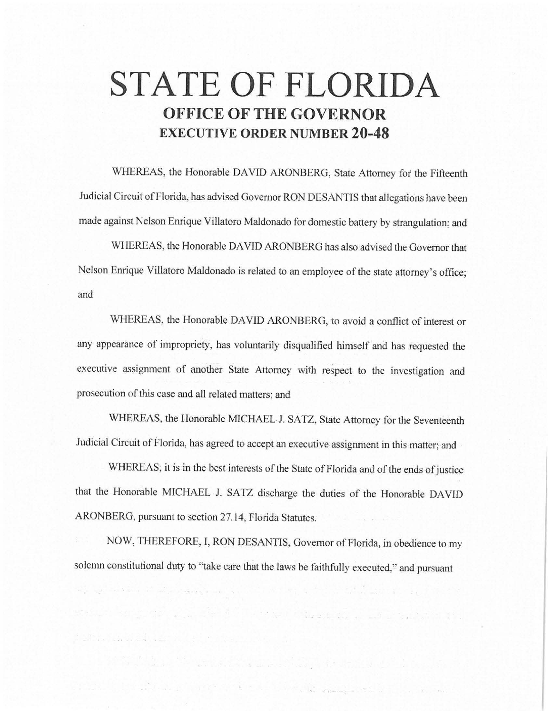# **STATE OF FLORIDA OFFICE OF THE GOVERNOR EXECUTIVE ORDER NUMBER 20-48**

WHEREAS, the Honorable DAVID ARONBERG, State Attorney for the Fifteenth Judicial Circuit of Florida, has advised Governor RON DESANTIS that allegations have been made against Nelson Enrique Villatoro Maldonado for domestic battery by strangulation; and

WHEREAS, the Honorable DAVID ARONBERG has also advised the Governor that Nelson Enrique Villatoro Maldonado is related to an employee of the state attorney's office; and

WHEREAS, the Honorable DAVID ARONBERG, to avoid a conflict of interest or any appearance of impropriety, has voluntarily disqualified himself and has requested the executive assignment of another State Attorney with respect to the investigation and prosecution of this case and all related matters; and

WHEREAS, the Honorable MICHAEL J. SATZ, State Attorney for the Seventeenth Judicial Circuit of Florida, has agreed to accept an executive assignment in this matter; and

WHEREAS, it is in the best interests of the State of Florida and of the ends of justice that the Honorable MICHAEL J. SATZ discharge the duties of the Honorable DAVID ARONBERG, pursuant to section 27.14, Florida Statutes.

NOW, THEREFORE, I, RON DESANTIS, Governor of Florida, in obedience to my solemn constitutional duty to "take care that the laws be faithfully executed," and pursuant

n an de la company de la company de la company de la company de la company de la company de la company de la comp

service the property of the contract of the activities of the contract of the service

with the constant of adjoint was a special for the set of the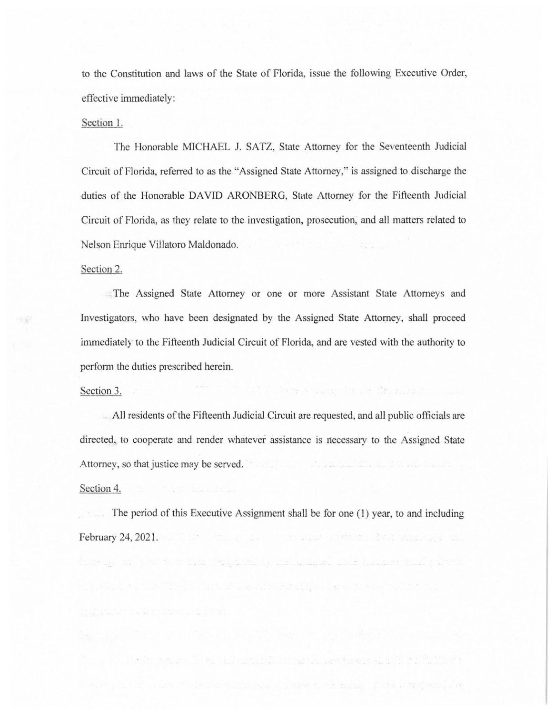to the Constitution and laws of the State of Florida, issue the following Executive Order, effective immediately:

## Section 1.

The Honorable MICHAEL J. SATZ, State Attorney for the Seventeenth Judicial Circuit of Florida, referred to as the "Assigned State Attorney," is assigned to discharge the duties of the Honorable DAVID ARONBERG, State Attorney for the Fifteenth Judicial Circuit of Florida, as they relate to the investigation, prosecution, and all matters related to Nelson Enrique Villatoro Maldonado.

#### Section 2.

准备

The Assigned State Attorney or one or more Assistant State Attorneys and Investigators, who have been designated by the Assigned State Attorney, shall proceed immediately to the Fifteenth Judicial Circuit of Florida, and are vested with the authority to perform the duties prescribed herein.

## Section 3.

All residents of the Fifteenth Judicial Circuit are requested, and all public officials are directed, to cooperate and render whatever assistance is necessary to the Assigned State Attorney, so that justice may be served.

ivit Covers were in it from an indust

#### Section 4.

The period of this Executive Assignment shall be for one (1) year, to and including **February 24, 2021.** The contract of the contract of the contract of the contract of the contract of the contract of the contract of the contract of the contract of the contract of the contract of the contract of the contr

inus an international dealership in the subman case transmissed priver.

the Collection of the State and Collection are to a time to a time with